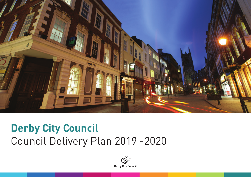

# **Derby City Council** Council Delivery Plan 2019 -2020

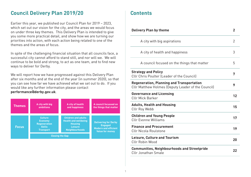#### **Council Delivery Plan 2019/20**

Earlier this year, we published our Council Plan for 2019 – 2023, which set out our vision for the city, and the areas we would focus on under three key themes. This Delivery Plan is intended to give you some more practical detail, and show how we are turning our priorities into action, with each action being related to one of the themes and the areas of focus.

In spite of the challenging financial situation that all councils face, a successful city cannot afford to stand still, and nor will we. We will continue to be bold and strong, to act as one team, and to find new ways to deliver for Derby.

We will report how we have progressed against this Delivery Plan after six months and at the end of the year (in summer 2020), so that you can see how far we have achieved what we set out to do. If you would like any further information please contact **performance@derby.gov.uk**.



#### **Contents**

| <b>Delivery Plan by theme</b>                                                                          | $\mathbf{2}$ |
|--------------------------------------------------------------------------------------------------------|--------------|
| A city with big aspirations                                                                            | 2            |
| A city of health and happiness                                                                         | 3            |
| A council focused on the things that matter                                                            | 5            |
| <b>Strategy and Policy</b><br>Cllr Chris Poulter (Leader of the Council)                               | 7            |
| <b>Regeneration, Planning and Transportation</b><br>Cllr Matthew Holmes (Deputy Leader of the Council) | 9            |
| <b>Governance and Licensing</b><br><b>CIIr Mick Barker</b>                                             | 12           |
| <b>Adults, Health and Housing</b><br>Cllr Roy Webb                                                     | 15           |
| <b>Children and Young People</b><br><b>Cllr Evonne Williams</b>                                        | 17           |
| <b>Finance and Procurement</b><br><b>Cllr Nicola Roulstone</b>                                         | 19           |
| <b>Leisure, Culture and Tourism</b><br>Cllr Robin Wood                                                 | 20           |
| <b>Communities, Neighbourhoods and Streetpride</b><br><b>Cllr Jonathan Smale</b>                       | 22           |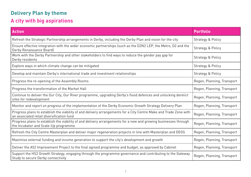# **Delivery Plan by theme**

# **A city with big aspirations**

| <b>Action</b>                                                                                                                                                  | <b>Portfolio</b>             |
|----------------------------------------------------------------------------------------------------------------------------------------------------------------|------------------------------|
| Refresh the Strategic Partnership arrangements in Derby, including the Derby Plan and vision for the city                                                      | <b>Strategy &amp; Policy</b> |
| Ensure effective integration with the wider economic partnerships (such as the D2N2 LEP, the Metro, D2 and the<br>Derby Renaissance Board)                     | Strategy & Policy            |
| Work with the Derby Partnership and other stakeholders to find ways to reduce the gender pay gap for<br>Derby residents                                        | <b>Strategy &amp; Policy</b> |
| Explore ways in which climate change can be mitigated                                                                                                          | Strategy & Policy            |
| Develop and maintain Derby's international trade and investment relationships                                                                                  | Strategy & Policy            |
| Progress the re-opening of the Assembly Rooms                                                                                                                  | Regen, Planning, Transport   |
| Progress the transformation of the Market Hall                                                                                                                 | Regen, Planning, Transport   |
| Continue to deliver the Our City, Our River programme, upgrading Derby's flood defences and unlocking derelict<br>sites for redevelopment                      | Regen, Planning, Transport   |
| Monitor and report on progress of the implementation of the Derby Economic Growth Strategy Delivery Plan                                                       | Regen, Planning, Transport   |
| Progress plans to establish the viability of and delivery arrangements for a City Centre Make and Trade Zone with<br>an associated retail diversification fund | Regen, Planning, Transport   |
| Progress plans to establish the viability of and delivery arrangements for a new and growing businesses through<br>the Incubator and Scale-Up programme        | Regen, Planning, Transport   |
| Refresh the City Centre Masterplan and deliver major regeneration projects in line with Masterplan and DEGS                                                    | Regen, Planning, Transport   |
| Maximise external funding and income generation to support the city's development and growth                                                                   | Regen, Planning, Transport   |
| Deliver the A52 Improvement Project to the final agreed programme and budget, as approved by Cabinet                                                           | Regen, Planning, Transport   |
| Support the HS2 Growth Strategy, engaging through the programme governance and contributing to the Gateway<br>Study to secure Derby connectivity               | Regen, Planning, Transport   |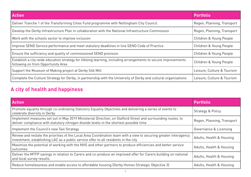| <b>Action</b>                                                                                                                                       | <b>Portfolio</b>           |
|-----------------------------------------------------------------------------------------------------------------------------------------------------|----------------------------|
| Deliver Tranche 1 of the Transforming Cities Fund programme with Nottingham City Council.                                                           | Regen, Planning, Transport |
| Develop the Derby Infrastructure Plan in collaboration with the National Infrastructure Commission                                                  | Regen, Planning, Transport |
| Work with the schools sector to improve inclusion                                                                                                   | Children & Young People    |
| Improve SEND Service performance and meet statutory deadlines in line SEND Code of Practice                                                         | Children & Young People    |
| Ensure the sufficiency and quality of commissioned SEND provision                                                                                   | Children & Young People    |
| Establish a city-wide education strategy for lifelong learning, including arrangements to secure improvements<br>following on from Opportunity Area | Children & Young People    |
| Support the Museum of Making project at Derby Silk Mill                                                                                             | Leisure, Culture & Tourism |
| Complete the Culture Strategy for Derby, in partnership with the University of Derby and cultural organisations                                     | Leisure, Culture & Tourism |

## **A city of health and happiness**

| <b>Action</b>                                                                                                                                                                                            | <b>Portfolio</b>             |
|----------------------------------------------------------------------------------------------------------------------------------------------------------------------------------------------------------|------------------------------|
| Promote equality through co-ordinating Statutory Equality Objectives and delivering a series of events to<br>celebrate diversity in Derby                                                                | <b>Strategy &amp; Policy</b> |
| Implement measures set out in May 2019 Ministerial Direction, on Stafford Street and surrounding routes, to<br>deliver compliance with statutory nitrogen dioxide levels in the shortest possible time   | Regen, Planning, Transport   |
| Implement the Council's new Taxi Strategy                                                                                                                                                                | Governance & Licensing       |
| Review and restate the priorities of the Local Area Coordination team with a view to securing greater interagency<br>investment, establishing LAC as a public service offer to all residents in the city | Adults, Health & Housing     |
| Maximise the potential of working with the NHS and other partners to produce efficiencies and better service<br>outcomes                                                                                 | Adults, Health & Housing     |
| Deliver the MTFP savings in relation to Carers and co-produce an improved offer for Carers building on national<br>and local survey results                                                              | Adults, Health & Housing     |
| Reduce homelessness and enable access to affordable housing (Derby Homes Strategic Objective 3)                                                                                                          | Adults, Health & Housing     |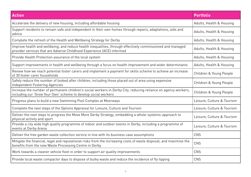| <b>Action</b>                                                                                                                                                                        | <b>Portfolio</b>           |
|--------------------------------------------------------------------------------------------------------------------------------------------------------------------------------------|----------------------------|
| Accelerate the delivery of new housing, including affordable housing                                                                                                                 | Adults, Health & Housing   |
| Support residents to remain safe and independent in their own homes through repairs, adaptations, aids and<br>advice                                                                 | Adults, Health & Housing   |
| Complete the refresh of the Health and Wellbeing Strategy for Derby                                                                                                                  | Adults, Health & Housing   |
| Improve health and wellbeing, and reduce health inequalities, through effectively commissioned and managed<br>provider services that are Adverse Childhood Experience (ACE) informed | Adults, Health & Housing   |
| Provide Health Protection assurance of the local system                                                                                                                              | Adults, Health & Housing   |
| Support improvements in health and wellbeing through a focus on health improvement and wider determinants                                                                            | Adults, Health & Housing   |
| Review how we reach potential foster carers and implement a payment for skills scheme to achieve an increase<br>of 30 foster carer households                                        | Children & Young People    |
| Safely reduce the number of looked after children, including those placed out of area using expensive<br>Independent Fostering Agencies                                              | Children & Young People    |
| Increase the number of permanent children's social workers in Derby City, reducing reliance on agency workers,<br>including our 'Grow Your Own' scheme to develop social workers     | Children & Young People    |
| Progress plans to build a new Swimming Pool Complex at Moorways                                                                                                                      | Leisure, Culture & Tourism |
| Complete the next steps of the Options Appraisal for Leisure, Culture and Tourism                                                                                                    | Leisure, Culture & Tourism |
| Deliver the next steps to progress the Move More Derby Strategy, embedding a whole-systems-approach to<br>physical activity and sport                                                | Leisure, Culture & Tourism |
| Provide a city wide high quality programme of indoor and outdoor events in Derby, including a programme of<br>events at Derby Arena                                                  | Leisure, Culture & Tourism |
| Deliver the free garden waste collection service in line with its business case assumptions                                                                                          | CNS                        |
| Mitigate the financial, legal and reputational risks from the increasing costs of waste disposal, and maximise the<br>benefits from the new Waste Processing Centre in Derby         | CNS                        |
| Work towards a cleaner vehicle fleet in order to support air quality improvements                                                                                                    | CNS                        |
| Provide local waste compactor days to dispose of bulky waste and reduce the incidence of fly tipping                                                                                 | CNS                        |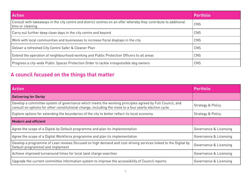| <b>Action</b>                                                                                                                        | <b>Portfolio</b> |
|--------------------------------------------------------------------------------------------------------------------------------------|------------------|
| Consult with takeaways in the city centre and district centres on an offer whereby they contribute to additional<br>bins or cleaning | CNS              |
| Carry out further deep clean days in the city centre and beyond                                                                      | <b>CNS</b>       |
| Work with local communities and businesses to increase floral displays in the city                                                   | <b>CNS</b>       |
| Deliver a refreshed City Centre Safer & Cleaner Plan                                                                                 | CNS              |
| Extend the operation of neighbourhood working and Public Protection Officers to all areas                                            | CNS              |
| Progress a city-wide Public Spaces Protection Order to tackle irresponsible dog owners                                               | CNS              |

# **A council focused on the things that matter**

| <b>Action</b>                                                                                                                                                                                                     | <b>Portfolio</b>             |
|-------------------------------------------------------------------------------------------------------------------------------------------------------------------------------------------------------------------|------------------------------|
| <b>Delivering for Derby</b>                                                                                                                                                                                       |                              |
| Develop a committee system of governance which meets the working principles agreed by Full Council, and<br>consult on options for other constitutional change, including the move to a four yearly election cycle | <b>Strategy &amp; Policy</b> |
| Explore options for extending the boundaries of the city to better reflect its local economy                                                                                                                      | <b>Strategy &amp; Policy</b> |
| <b>Modern and efficient</b>                                                                                                                                                                                       |                              |
| Agree the scope of a Digital by Default programme and plan its implementation                                                                                                                                     | Governance & Licensing       |
| Agree the scope of a Digital Workforce programme and plan its implementation                                                                                                                                      | Governance & Licensing       |
| Develop a programme of Lean reviews (focused on high demand and cost-driving services linked to the Digital by<br>Default programme) and implement                                                                | Governance & Licensing       |
| Achieve improved turnaround times for local land charge searches                                                                                                                                                  | Governance & Licensing       |
| Upgrade the current committee information system to improve the accessibility of Council reports                                                                                                                  | Governance & Licensing       |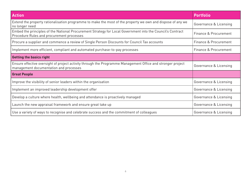| <b>Action</b>                                                                                                                                           | <b>Portfolio</b>       |
|---------------------------------------------------------------------------------------------------------------------------------------------------------|------------------------|
| Extend the property rationalisation programme to make the most of the property we own and dispose of any we<br>no longer need                           | Governance & Licensing |
| Embed the principles of the National Procurement Strategy for Local Government into the Council's Contract<br>Procedure Rules and procurement processes | Finance & Procurement  |
| Procure a supplier and commence a review of Single Person Discounts for Council Tax accounts                                                            | Finance & Procurement  |
| Implement more efficient, compliant and automated purchase-to-pay processes                                                                             | Finance & Procurement  |
| <b>Getting the basics right</b>                                                                                                                         |                        |
| Ensure effective oversight of project activity through the Programme Management Office and stronger project<br>management documentation and processes   | Governance & Licensing |
| <b>Great People</b>                                                                                                                                     |                        |
| Improve the visibility of senior leaders within the organisation                                                                                        | Governance & Licensing |
| Implement an improved leadership development offer                                                                                                      | Governance & Licensing |
| Develop a culture where health, wellbeing and attendance is proactively managed                                                                         | Governance & Licensing |
| Launch the new appraisal framework and ensure great take up                                                                                             | Governance & Licensing |
| Use a variety of ways to recognise and celebrate success and the commitment of colleagues                                                               | Governance & Licensing |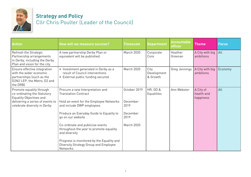

# **Strategy and Policy** Cllr Chris Poulter (Leader of the Council)

| <b>Action</b>                                                                                                                                                 | <b>How will we measure success?</b>                                                                                                                                                                                                                                                                                                                                                                        | <b>Timescale</b>                                                   | <b>Department</b>                        | <b>Accountable</b><br>officer | <b>Theme</b>                         | <b>Focus</b> |
|---------------------------------------------------------------------------------------------------------------------------------------------------------------|------------------------------------------------------------------------------------------------------------------------------------------------------------------------------------------------------------------------------------------------------------------------------------------------------------------------------------------------------------------------------------------------------------|--------------------------------------------------------------------|------------------------------------------|-------------------------------|--------------------------------------|--------------|
| Refresh the Strategic<br>Partnership arrangements<br>in Derby, including the Derby<br>Plan and vision for the city                                            | A new partnership Derby Plan or<br>equivalent will be published.                                                                                                                                                                                                                                                                                                                                           | <b>March 2020</b>                                                  | Corporate<br>Core                        | Heather<br>Greenan            | A City with big<br>ambitions         | All          |
| Ensure effective integration<br>with the wider economic<br>partnerships (such as the<br>D2N2 LEP, the Metro, D2 and<br>the DRB)                               | • Investment generated in Derby as a<br>result of Council interventions<br>• External public funding secured                                                                                                                                                                                                                                                                                               | March 2020                                                         | City<br>Development<br>& Growth          | Greg Jennings                 | A City with big<br>ambitions         | Economy      |
| Promote equality through<br>co-ordinating the Statutory<br><b>Equality Objectives and</b><br>delivering a series of events to<br>celebrate diversity in Derby | Procure a new Interpretation and<br><b>Translation Contract</b><br>Hold an event for the Employee Networks<br>and include DWP employees<br>Produce an Everyday Guide to Equality to<br>go on our website<br>Co-ordinate and publicise events<br>throughout the year to promote equality<br>and diversity<br>Progress is monitored by the Equality and<br>Diversity Strategy Group and Employee<br>Networks | October 2019<br>December<br>2019<br>December<br>2019<br>March 2020 | <b>HR, OD &amp;</b><br><b>Equalities</b> | Ann Webster                   | A City of<br>health and<br>happiness | All          |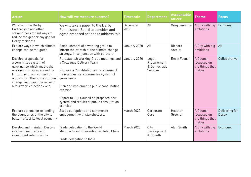| <b>Action</b>                                                                                                                                                                                                                                     | How will we measure success?                                                                                                                                                                                                                                                                                                     | <b>Timescale</b>  | <b>Department</b>                                 | <b>Accountable</b><br>officer | <b>Theme</b>                                          | <b>Focus</b>            |
|---------------------------------------------------------------------------------------------------------------------------------------------------------------------------------------------------------------------------------------------------|----------------------------------------------------------------------------------------------------------------------------------------------------------------------------------------------------------------------------------------------------------------------------------------------------------------------------------|-------------------|---------------------------------------------------|-------------------------------|-------------------------------------------------------|-------------------------|
| Work with the Derby<br>Partnership and other<br>stakeholders to find ways to<br>reduce the gender pay gap for<br>Derby residents                                                                                                                  | We will take a paper to the Derby<br>Renaissance Board to consider and<br>agree proposed actions to address this                                                                                                                                                                                                                 | December<br>2019  | All                                               | Greg Jennings                 | A City with big<br>ambitions                          | Economy                 |
| Explore ways in which climate<br>change can be mitigated                                                                                                                                                                                          | Establishment of a working group to<br>inform the refresh of the climate change<br>strategy, in conjunction with partners                                                                                                                                                                                                        | January 2020      | All                                               | Richard<br>Antcliff           | A City with big<br>ambitions                          | All                     |
| Develop proposals for<br>a committee system of<br>governance which meets the<br>working principles agreed by<br>Full Council, and consult on<br>options for other constitutional<br>change, including the move to<br>a four yearly election cycle | Re-establish Working Group meetings and<br>a Colleague Delivery Team<br>Produce a Constitution and a Scheme of<br>Delegations for a committee system of<br>qovernance<br>Plan and implement a public consultation<br>exercise<br>Report to Full Council on proposed new<br>system and results of public consultation<br>exercise | January 2020      | Legal,<br>Procurement<br>& Democratic<br>Services | <b>Emily Feenan</b>           | A Council<br>focussed on<br>the things that<br>matter | Collaborative           |
| Explore options for extending<br>the boundaries of the city to<br>better reflect its local economy                                                                                                                                                | Scope out options and commence<br>engagement with stakeholders.                                                                                                                                                                                                                                                                  | <b>March 2020</b> | Corporate<br>Core                                 | Heather<br>Greenan            | A Council<br>focussed on<br>the things that<br>matter | Delivering for<br>Derby |
| Develop and maintain Derby's<br>international trade and<br>investment relationships                                                                                                                                                               | Trade delegation to the World<br>Manufacturing Convention in Hefei, China<br>Trade delegation to India                                                                                                                                                                                                                           | March 2020        | City<br>Development<br>& Growth                   | Alan Smith                    | A City with big<br>ambitions                          | Economy                 |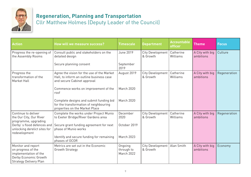

# **Regeneration, Planning and Transportation**

Cllr Matthew Holmes (Deputy Leader of the Council)

| <b>Action</b>                                                                                                               | How will we measure success?                                                                                          | <b>Timescale</b>                    | <b>Department</b>            | <b>Accountable</b><br><b>officer</b> | <b>Theme</b>                 | <b>Focus</b> |
|-----------------------------------------------------------------------------------------------------------------------------|-----------------------------------------------------------------------------------------------------------------------|-------------------------------------|------------------------------|--------------------------------------|------------------------------|--------------|
| Progress the re-opening of<br>the Assembly Rooms                                                                            | Consult public and stakeholders on the<br>detailed design                                                             | June 2019                           | City Development<br>& Growth | Catherine<br>Williams                | A City with big<br>ambitions | Culture      |
|                                                                                                                             | Secure planning consent                                                                                               | September<br>2019                   |                              |                                      |                              |              |
| Progress the<br>transformation of the<br>Market Hall                                                                        | Agree the vision for the use of the Market<br>Hall, to inform an outline business case<br>and secure Cabinet approval | August 2019                         | City Development<br>& Growth | Catherine<br>Williams                | A City with big<br>ambitions | Regeneration |
|                                                                                                                             | Commence works on improvement of the<br>roof                                                                          | March 2020                          |                              |                                      |                              |              |
|                                                                                                                             | Complete designs and submit funding bid<br>for the transformation of neighbouring<br>properties on the Market Place   | March 2020                          |                              |                                      |                              |              |
| Continue to deliver<br>the Our City, Our River<br>programme, upgrading                                                      | Complete the works under Project Munio<br>to Exeter Bridge/River Gardens area                                         | December<br>2020                    | City Development<br>& Growth | Catherine<br>Williams                | A City with big<br>ambitions | Regeneration |
| unlocking derelict sites for<br>redevelopment                                                                               | Derby's flood defences and Secure grant funding agreement for next<br>phase of Munio works                            | October 2019                        |                              |                                      |                              |              |
|                                                                                                                             | Identify and secure funding for remaining<br>phases of OCOR                                                           | <b>March 2023</b>                   |                              |                                      |                              |              |
| Monitor and report<br>on progress of the<br>implementation of the<br>Derby Economic Growth<br><b>Strategy Delivery Plan</b> | Metrics are set out in the Economic<br>Growth Strategy                                                                | Ongoing<br>through to<br>March 2022 | City Development<br>& Growth | Alan Smith                           | A City with big<br>ambitions | Economy      |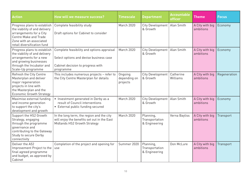| <b>Action</b>                                                                                                                                                              | <b>How will we measure success?</b>                                                                                                     | <b>Timescale</b>                    | <b>Department</b>                            | <b>Accountable</b><br>officer | <b>Theme</b>                 | <b>Focus</b> |
|----------------------------------------------------------------------------------------------------------------------------------------------------------------------------|-----------------------------------------------------------------------------------------------------------------------------------------|-------------------------------------|----------------------------------------------|-------------------------------|------------------------------|--------------|
| Progress plans to establish<br>the viability of and delivery<br>arrangements for a City<br>Centre Make and Trade<br>Zone with an associated<br>retail diversification fund | Complete feasibility study<br>Draft options for Cabinet to consider                                                                     | March 2020                          | City Development<br>& Growth                 | Alan Smith                    | A City with big<br>ambitions | Economy      |
| Progress plans to establish<br>the viability of and delivery<br>arrangements for a new<br>and growing businesses<br>through the Incubator and<br>Scale-Up programme        | Complete feasibility and options appraisal<br>Select options and devise business case<br>Cabinet decision to progress with<br>programme | <b>March 2020</b>                   | City Development   Alan Smith<br>& Growth    |                               | A City with big<br>ambitions | Economy      |
| Refresh the City Centre<br>Masterplan and deliver<br>major regeneration<br>projects in line with<br>the Masterplan and the<br><b>Economic Growth Strategy</b>              | This includes numerous projects - refer to<br>the City Centre Masterplan for details                                                    | Ongoing<br>depending on<br>projects | City Development<br>& Growth                 | Catherine<br>Williams         | A City with big<br>ambitions | Regeneration |
| Maximise external funding<br>and income generation<br>to support the city's<br>development and growth                                                                      | • Investment generated in Derby as a<br>result of Council interventions<br>• External public funding secured                            | <b>March 2020</b>                   | City Development   Alan Smith<br>& Growth    |                               | A City with big<br>ambitions | Economy      |
| Support the HS2 Growth<br>Strategy, engaging<br>through the programme<br>governance and<br>contributing to the Gateway<br>Study to secure Derby<br>connectivity            | In the long term, the region and the city<br>will enjoy the benefits set out in the East<br>Midlands HS2 Growth Strategy                | <b>March 2020</b>                   | Planning,<br>Transportation<br>& Engineering | Verna Bayliss                 | A City with big<br>ambitions | Transport    |
| Deliver the A52<br>Improvement Project to the<br>final agreed programme<br>and budget, as approved by<br>Cabinet                                                           | Completion of the project and opening for<br>use                                                                                        | Summer 2020                         | Planning,<br>Transportation<br>& Engineering | Don McLure                    | A City with big<br>ambitions | Transport    |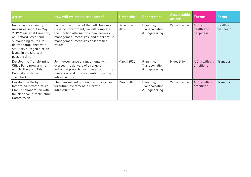| <b>Action</b>                                                                                                                                                                                                                           | How will we measure success?                                                                                                                                                                                        | <b>Timescale</b> | <b>Department</b>                            | <b>Accountable</b><br>officer | <b>Theme</b>                         | <b>Focus</b>            |
|-----------------------------------------------------------------------------------------------------------------------------------------------------------------------------------------------------------------------------------------|---------------------------------------------------------------------------------------------------------------------------------------------------------------------------------------------------------------------|------------------|----------------------------------------------|-------------------------------|--------------------------------------|-------------------------|
| Implement air quality<br>measures set out in May<br>2019 Ministerial Direction.<br>on Stafford Street and<br>surrounding routes, to<br>deliver compliance with<br>statutory nitrogen dioxide<br>levels in the shortest<br>possible time | Following approval of the Full Business<br>Case by Government, we will complete<br>the junction alternations, new network<br>management measures, and other traffic<br>management measures on identified<br>routes. | December<br>2019 | Planning,<br>Transportation<br>& Engineering | Verna Bayliss                 | A City of<br>health and<br>happiness | Health and<br>wellbeing |
| Develop the Transforming<br>Cities Fund programme<br>with Nottingham City<br>Council and deliver<br>Tranche 1                                                                                                                           | Joint governance arrangements will<br>oversee the delivery of a range of<br>individual projects, including bus priority<br>measures and improvements to cycling<br>infrastructure.                                  | March 2020       | Planning,<br>Transportation<br>& Engineering | Nigel Brien                   | A City with big<br>ambitions         | Transport               |
| Develop the Derby<br>Integrated Infrastructure<br>Plan in collaboration with<br>the National Infrastructure<br>Commission                                                                                                               | The plan will set out long term priorities<br>for future investment in Derby's<br>infrastructure                                                                                                                    | March 2020       | Planning,<br>Transportation<br>& Engineering | Verna Bayliss                 | A City with big<br>ambitions         | Transport               |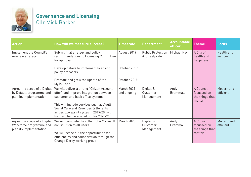

# **Governance and Licensing**  Cllr Mick Barker

| <b>Action</b>                                                                       | How will we measure success?                                                                                                                                           | <b>Timescale</b>          | <b>Department</b>                         | <b>Accountable</b><br>officer | <b>Theme</b>                                          | <b>Focus</b>            |
|-------------------------------------------------------------------------------------|------------------------------------------------------------------------------------------------------------------------------------------------------------------------|---------------------------|-------------------------------------------|-------------------------------|-------------------------------------------------------|-------------------------|
| Implement the Council's<br>new taxi strategy                                        | Submit final strategy and policy<br>recommendations to Licensing Committee<br>for approval                                                                             | August 2019               | <b>Public Protection</b><br>& Streetpride | Michael Kay                   | A City of<br>health and<br>happiness                  | Health and<br>wellbeing |
|                                                                                     | Develop details to implement licensing<br>policy proposals                                                                                                             | October 2019              |                                           |                               |                                                       |                         |
|                                                                                     | Promote and grow the update of the<br>MyTaxi app                                                                                                                       | October 2019              |                                           |                               |                                                       |                         |
| Agree the scope of a Digital<br>by Default programme and<br>plan its implementation | We will deliver a strong "Citizen Account<br>offer" and improve integration between<br>customer and back office systems.                                               | March 2021<br>and ongoing | Digital &<br>Customer<br>Management       | Andy<br>Brammall              | A Council<br>focussed on<br>the things that<br>matter | Modern and<br>efficient |
|                                                                                     | This will include services such as Adult<br>Social Care and Revenues & Benefits<br>across two sprint cycles in 2019/20, with<br>further change scoped out for 2020/21. |                           |                                           |                               |                                                       |                         |
| Agree the scope of a Digital<br>Workforce programme and<br>plan its implementation  | We will complete the rollout of a Microsoft<br>365 solution to all users.<br>We will scope out the opportunities for                                                   | March 2020                | Digital &<br>Customer<br>Management       | Andy<br>Brammall              | A Council<br>focussed on<br>the things that<br>matter | Modern and<br>efficient |
|                                                                                     | efficiencies and collaboration through the<br>Change Derby working group                                                                                               |                           |                                           |                               |                                                       |                         |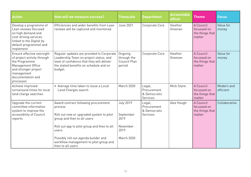| <b>Action</b>                                                                                                                                                           | How will we measure success?                                                                                                                                                                                                                                                              | <b>Timescale</b>                                                        | <b>Department</b>                                 | <b>Accountable</b><br>officer | <b>Theme</b>                                          | <b>Focus</b>            |
|-------------------------------------------------------------------------------------------------------------------------------------------------------------------------|-------------------------------------------------------------------------------------------------------------------------------------------------------------------------------------------------------------------------------------------------------------------------------------------|-------------------------------------------------------------------------|---------------------------------------------------|-------------------------------|-------------------------------------------------------|-------------------------|
| Develop a programme of<br>Lean reviews (focused<br>on high demand and<br>cost-driving services<br>linked to the Digital by<br>default programme) and<br>implement       | Efficiencies and wider benefits from Lean<br>reviews will be captured and monitored.                                                                                                                                                                                                      | <b>June 2021</b>                                                        | Corporate Core                                    | Heather<br>Greenan            | A Council<br>focussed on<br>the things that<br>matter | Value for<br>money      |
| Ensure effective oversight<br>of project activity through<br>the Programme<br>Management Office<br>and stronger project<br>management<br>documentation and<br>processes | Regular updates are provided to Corporate<br>Leadership Team on project status, and<br>level of confidence that they will deliver<br>the stated benefits on schedule and on<br>budget.                                                                                                    | Ongoing<br>through the<br>Council Plan<br>period                        | Corporate Core                                    | Heather<br>Greenan            | A Council<br>focussed on<br>the things that<br>matter | Value for<br>money      |
| Achieve improved<br>turnaround times for local<br>land charge searches                                                                                                  | • Average time taken to issue a Local<br>Land Charges search                                                                                                                                                                                                                              | March 2020                                                              | Legal,<br>Procurement<br>& Democratic<br>Services | Mick Styne                    | A Council<br>focussed on<br>the things that<br>matter | Modern and<br>efficient |
| Upgrade the current<br>committee information<br>system to improve the<br>accessibility of Council<br>reports                                                            | Award contract following procurement<br>process<br>Roll out new or upgraded system to pilot<br>group and then to all users<br>Roll out app to pilot group and then to all<br>users<br>Possibly roll out agenda builder and<br>workflow management to pilot group and<br>then to all users | <b>July 2019</b><br>September<br>2019<br>November<br>2019<br>March 2020 | Legal,<br>Procurement<br>& Democratic<br>Services | Alex Hough                    | A Council<br>focussed on<br>the things that<br>matter | Collaborative           |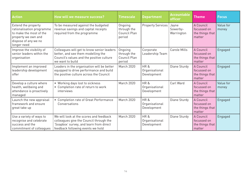| <b>Action</b>                                                                                                                             | How will we measure success?                                                                                                                                       | <b>Timescale</b>                                 | <b>Department</b>                    | <b>Accountable</b><br>officer   | <b>Theme</b>                                          | <b>Focus</b>       |
|-------------------------------------------------------------------------------------------------------------------------------------------|--------------------------------------------------------------------------------------------------------------------------------------------------------------------|--------------------------------------------------|--------------------------------------|---------------------------------|-------------------------------------------------------|--------------------|
| Extend the property<br>rationalisation programme<br>to make the most of the<br>property we own and<br>dispose of any we no<br>longer need | To be measured against the budgeted<br>revenue savings and capital receipts<br>required from the programme                                                         | Ongoing<br>through the<br>Council Plan<br>period | <b>Property Services</b>             | Jayne<br>Sowerby-<br>Warrington | A Council<br>focussed on<br>the things that<br>matter | Value for<br>money |
| Improve the visibility of<br>senior leaders within the<br>organisation                                                                    | Colleagues will get to know senior leaders<br>better, and see them modelling the<br>Council's values and the positive culture<br>we want to build                  | Ongoing<br>through the<br>Council Plan<br>period | Corporate<br>Leadership Team         | Carole Mills                    | A Council<br>focussed on<br>the things that<br>matter | Engaged            |
| Implement an improved<br>leadership development<br>offer                                                                                  | Leaders in the organisation will be better<br>equipped to drive performance and build<br>the positive culture across the Council                                   | March 2020                                       | HR&<br>Organisational<br>Development | Diane Sturdy                    | A Council<br>focussed on<br>the things that<br>matter | Engaged            |
| Develop a culture where<br>health, wellbeing and<br>attendance is proactively<br>managed                                                  | • Working days lost to sickness<br>• Completion rate of return to work<br>interviews                                                                               | March 2020                                       | HR&<br>Organisational<br>Development | Carl Ward                       | A Council<br>focussed on<br>the things that<br>matter | Value for<br>money |
| Launch the new appraisal<br>framework and ensure<br>great take up                                                                         | • Completion rate of Great Performance<br>Conversations                                                                                                            | March 2020                                       | HR&<br>Organisational<br>Development | Diane Sturdy                    | A Council<br>focussed on<br>the things that<br>matter | Engaged            |
| Use a variety of ways to<br>recognise and celebrate<br>success and the<br>commitment of colleagues                                        | We will look at the scores and feedback<br>colleagues give the Council through the<br>'Soapbox' survey, and learn from direct<br>feedback following events we hold | March 2020                                       | HR&<br>Organisational<br>Development | Diane Sturdy                    | A Council<br>focussed on<br>the things that<br>matter | Engaged            |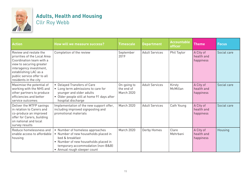

# **Adults, Health and Housing**  Cllr Roy Webb

| <b>Action</b>                                                                                                                                                                                                              | <b>How will we measure success?</b>                                                                                                                                                                     | <b>Timescale</b>                               | <b>Department</b>     | <b>Accountable</b><br>officer | <b>Theme</b>                         | <b>Focus</b> |
|----------------------------------------------------------------------------------------------------------------------------------------------------------------------------------------------------------------------------|---------------------------------------------------------------------------------------------------------------------------------------------------------------------------------------------------------|------------------------------------------------|-----------------------|-------------------------------|--------------------------------------|--------------|
| Review and restate the<br>priorities of the Local Area<br>Coordination team with a<br>view to securing greater<br>interagency investment,<br>establishing LAC as a<br>public service offer to all<br>residents in the city | Completion of the review                                                                                                                                                                                | September<br>2019                              | <b>Adult Services</b> | Phil Taylor                   | A City of<br>health and<br>happiness | Social care  |
| Maximise the potential of<br>working with the NHS and<br>other partners to produce<br>efficiencies and better<br>service outcomes                                                                                          | • Delayed Transfers of Care<br>• Long term admissions to care for<br>younger and older adults<br>• Older people still at home 91 days after<br>hospital discharge                                       | On-going to<br>the end of<br><b>March 2020</b> | <b>Adult Services</b> | Kirsty<br>McMillan            | A City of<br>health and<br>happiness | Social care  |
| Deliver the MTFP savings<br>in relation to Carers and<br>co-produce an improved<br>offer for Carers, building<br>on national and local<br>survey results                                                                   | Implementation of the new support offer,<br>including improved signposting and<br>promotional materials                                                                                                 | <b>March 2020</b>                              | <b>Adult Services</b> | Cath Young                    | A City of<br>health and<br>happiness | Social care  |
| Reduce homelessness and<br>enable access to affordable<br>housing                                                                                                                                                          | • Number of homeless approaches<br>• Number of new households placed in<br>bed & breakfast<br>• Number of new households placed in<br>temporary accommodation (non-B&B)<br>• Annual rough sleeper count | March 2020                                     | Derby Homes           | Clare<br>Mehrbani             | A City of<br>health and<br>happiness | Housing      |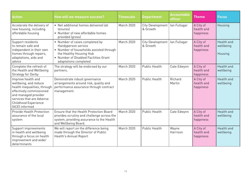| <b>Action</b>                                                                                                                                                                                                 | How will we measure success?                                                                                                                                                                  | <b>Timescale</b>  | <b>Department</b>                   | <b>Accountable</b><br>officer | <b>Theme</b>                         | <b>Focus</b>                       |
|---------------------------------------------------------------------------------------------------------------------------------------------------------------------------------------------------------------|-----------------------------------------------------------------------------------------------------------------------------------------------------------------------------------------------|-------------------|-------------------------------------|-------------------------------|--------------------------------------|------------------------------------|
| Accelerate the delivery of<br>new housing, including<br>affordable housing                                                                                                                                    | • Net additional homes delivered (all<br>tenures<br>• Number of new affordable homes<br>provided (gross)                                                                                      | March 2020        | <b>City Development</b><br>& Growth | lan Fullagar                  | A City of<br>health and<br>happiness | Housing                            |
| Support residents<br>to remain safe and<br>independent in their own<br>homes through repairs,<br>adaptations, aids and<br>advice                                                                              | • Number of cases completed by<br>Handyperson service<br>• Number of households assisted through<br>the Healthy Housing Hub<br>• Number of Disabled Facilities Grant<br>adaptations completed | <b>March 2020</b> | City Development<br>& Growth        | lan Fullagar                  | A City of<br>health and<br>happiness | Health and<br>wellbeing<br>Housing |
| Complete the refresh of<br>the Health and Wellbeing<br>Strategy for Derby                                                                                                                                     | The strategy will be endorsed by our<br>partners.                                                                                                                                             | March 2020        | <b>Public Health</b>                | Cate Edwynn                   | A City of<br>health and<br>happiness | Health and<br>wellbeing            |
| Improve health and<br>wellbeing, and reduce<br>health inequalities, through<br>effectively commissioned<br>and managed provider<br>services that are Adverse<br><b>Childhood Experience</b><br>(ACE) informed | Demonstrate robust governance<br>arrangements around risk, quality and<br>performance assurance through contract<br>management.                                                               | March 2020        | <b>Public Health</b>                | Richard<br>Martin             | A City of<br>health and<br>happiness | Health and<br>wellbeing            |
| <b>Provide Health Protection</b><br>assurance of the local<br>system                                                                                                                                          | Ensure that the Health Protection Board<br>provides scrutiny and challenge across the<br>system, providing assurance to the Health<br>and Wellbeing Board.                                    | <b>March 2020</b> | <b>Public Health</b>                | Cate Edwynn                   | A City of<br>health and<br>happiness | Health and<br>wellbeing            |
| Support improvements<br>in health and wellbeing<br>through a focus on health<br>improvement and wider<br>determinants                                                                                         | We will report on the difference being<br>made through the Director of Public<br>Health's Annual Report                                                                                       | March 2020        | <b>Public Health</b>                | Wayne<br>Harrison             | A City of<br>health and<br>happiness | Health and<br>wellbeing            |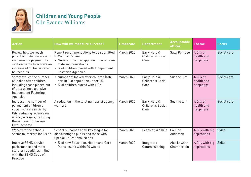

# **Children and Young People**  Cllr Evonne Williams

| <b>Action</b>                                                                                                                                                                 | <b>How will we measure success?</b>                                                                                                                                                                    | <b>Timescale</b>  | <b>Department</b>                         | <b>Accountable</b><br>officer | <b>Theme</b>                         | <b>Focus</b>  |
|-------------------------------------------------------------------------------------------------------------------------------------------------------------------------------|--------------------------------------------------------------------------------------------------------------------------------------------------------------------------------------------------------|-------------------|-------------------------------------------|-------------------------------|--------------------------------------|---------------|
| Review how we reach<br>potential foster carers and<br>implement a payment for<br>skills scheme to achieve an<br>increase of 30 foster carer<br>households                     | Report recommendations to be submitted<br>to Council Cabinet<br>• Number of active approved mainstream<br>fostering households<br>• % of children placed with Independent<br><b>Fostering Agencies</b> | March 2020        | Early Help &<br>Children's Social<br>Care | Sally Penrose                 | A City of<br>health and<br>happiness | Social care   |
| Safely reduce the number<br>of looked after children.<br>including those placed out<br>of area using expensive<br>Independent Fostering<br>Agencies                           | • Number of looked after children frate<br>per 10,000 population under 18)<br>• % of children placed with IFAs                                                                                         | <b>March 2020</b> | Early Help &<br>Children's Social<br>Care | Suanne Lim                    | A City of<br>health and<br>happiness | Social care   |
| Increase the number of<br>permanent children's<br>social workers in Derby<br>City, reducing reliance on<br>agency workers, including<br>through our "Grow Your<br>Own" scheme | A reduction in the total number of agency<br>workers                                                                                                                                                   | <b>March 2020</b> | Early Help &<br>Children's Social<br>Care | Suanne Lim                    | A City of<br>health and<br>happiness | Social care   |
| Work with the schools<br>sector to improve inclusion                                                                                                                          | School outcomes at all key stages for<br>disadvantaged pupils and those with<br><b>Special Educational Needs</b>                                                                                       | March 2020        | Learning & Skills                         | Pauline<br>Anderson           | A City with big<br>aspirations       | <b>Skills</b> |
| Improve SEND service<br>performance and meet<br>statutory deadlines in line<br>with the SEND Code of<br>Practice                                                              | • % of new Education, Health and Care<br>Plans issued within 20 weeks                                                                                                                                  | March 2020        | Integrated<br>Commissioning               | Alex Lawson-<br>Chamberlain   | A City with big<br>aspirations       | <b>Skills</b> |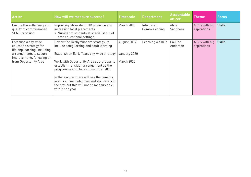| <b>Action</b>                                                                                             | How will we measure success?                                                                                                                                                                     | <b>Timescale</b>            | <b>Department</b>           | <b>Accountable</b><br><b>officer</b> | <b>Theme</b>                   | <b>Focus</b>  |
|-----------------------------------------------------------------------------------------------------------|--------------------------------------------------------------------------------------------------------------------------------------------------------------------------------------------------|-----------------------------|-----------------------------|--------------------------------------|--------------------------------|---------------|
| Ensure the sufficiency and<br>quality of commissioned<br>SEND provision                                   | Improving city-wide SEND provision and<br>increasing local placements<br>• Number of students at specialist out of<br>area educational settings                                                  | March 2020                  | Integrated<br>Commissioning | Alice<br>Sanghera                    | A City with big<br>aspirations | Skills        |
| Establish a city-wide<br>education strategy for<br>lifelong learning, including<br>arrangements to secure | Review the Derby Winners strategy, to<br>include safequarding and adult learning<br>Establish an Early Years city-wide strategy                                                                  | August 2019<br>January 2020 | Learning & Skills           | Pauline<br>Anderson                  | A City with big<br>aspirations | <b>Skills</b> |
| improvements following on<br>from Opportunity Area                                                        | Work with Opportunity Area sub-groups to<br>establish transition arrangement as the                                                                                                              | <b>March 2020</b>           |                             |                                      |                                |               |
|                                                                                                           | programme concludes in summer 2020<br>In the long term, we will see the benefits<br>in educational outcomes and skill levels in<br>the city, but this will not be measureable<br>within one year |                             |                             |                                      |                                |               |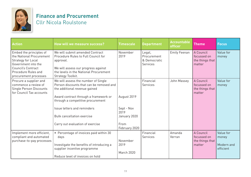

#### **Finance and Procurement**  Cllr Nicola Roulstone

| <b>Action</b>                                                                                                                                                          | How will we measure success?                                                                                                                                                                                                                                       | <b>Timescale</b>                                  | <b>Department</b>                                        | <b>Accountable</b><br><b>officer</b> | <b>Theme</b>                                          | <b>Focus</b>                                  |
|------------------------------------------------------------------------------------------------------------------------------------------------------------------------|--------------------------------------------------------------------------------------------------------------------------------------------------------------------------------------------------------------------------------------------------------------------|---------------------------------------------------|----------------------------------------------------------|--------------------------------------|-------------------------------------------------------|-----------------------------------------------|
| Embed the principles of<br>the National Procurement<br>Strategy for Local<br>Government into the<br>Council's Contract<br>Procedure Rules and<br>procurement processes | We will submit amended Contract<br>Procedure Rules to Full Council for<br>approval.<br>We will assess our progress against<br>the levels in the National Procurement<br>Strategy Toolkit.                                                                          | November<br>2019                                  | Legal,<br>Procurement<br>& Democratic<br><b>Services</b> | <b>Emily Feenan</b>                  | A Council<br>focussed on<br>the things that<br>matter | Value for<br>money                            |
| Procure a supplier and<br>commence a review of<br><b>Single Person Discounts</b><br>for Council Tax accounts                                                           | We will assess the number of Single<br>Person discounts that can be removed and<br>the additional revenue gained<br>Award contract through a framework or<br>through a competitive procurement<br>Issue letters and reminders<br><b>Bulk cancellation exercise</b> | August 2019<br>Sept - Nov<br>2019<br>January 2020 | Financial<br>Services                                    | John Massey                          | A Council<br>focussed on<br>the things that<br>matter | Value for<br>money                            |
|                                                                                                                                                                        | Carry out evaluation of exercise                                                                                                                                                                                                                                   | From<br>February 2020                             |                                                          |                                      |                                                       |                                               |
| Implement more efficient,<br>compliant and automated<br>purchase-to-pay processes                                                                                      | • Percentage of invoices paid within 30<br>days<br>Investigate the benefits of introducing a<br>supplier incentive programme<br>Reduce level of invoices on hold                                                                                                   | November<br>2019<br><b>March 2020</b>             | Financial<br><b>Services</b>                             | Amanda<br>Verran                     | A Council<br>focussed on<br>the things that<br>matter | Value for<br>money<br>Modern and<br>efficient |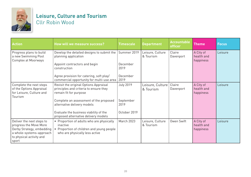

## **Leisure, Culture and Tourism**  Cllr Robin Wood

| <b>Action</b>                                                                                                                                     | How will we measure success?                                                                                                       | <b>Timescale</b>  | <b>Department</b>             | <b>Accountable</b><br>officer | <b>Theme</b>                         | <b>Focus</b> |
|---------------------------------------------------------------------------------------------------------------------------------------------------|------------------------------------------------------------------------------------------------------------------------------------|-------------------|-------------------------------|-------------------------------|--------------------------------------|--------------|
| Progress plans to build<br>a new Swimming Pool<br>Complex at Moorways                                                                             | Develop the detailed designs to submit the<br>planning application                                                                 | Summer 2019       | Leisure, Culture<br>& Tourism | Claire<br>Davenport           | A City of<br>health and<br>happiness | Leisure      |
|                                                                                                                                                   | Appoint contractors and begin<br>construction                                                                                      | December<br>2019  |                               |                               |                                      |              |
|                                                                                                                                                   | Agree provision for catering, soft play/<br>commercial opportunity for multi-use area                                              | December<br>2019  |                               |                               |                                      |              |
| Complete the next steps<br>of the Options Appraisal<br>for Leisure, Culture and<br>Tourism                                                        | Revisit the original Options Appraisal<br>principles and criteria to ensure they<br>remain fit for purpose                         | <b>July 2019</b>  | Leisure, Culture<br>& Tourism | Claire<br>Davenport           | A City of<br>health and<br>happiness | Leisure      |
|                                                                                                                                                   | Complete an assessment of the proposed<br>alternative delivery models                                                              | September<br>2019 |                               |                               |                                      |              |
|                                                                                                                                                   | Evaluate the business viability of the<br>proposed alternative delivery models                                                     | October 2019      |                               |                               |                                      |              |
| Deliver the next steps to<br>progress the Move More<br>Derby Strategy, embedding<br>a whole-systems-approach<br>to physical activity and<br>sport | • Proportion of adults who are physically<br>inactive<br>Proportion of children and young people<br>who are physically less active | March 2023        | Leisure, Culture<br>& Tourism | Owen Swift                    | A City of<br>health and<br>happiness | Leisure      |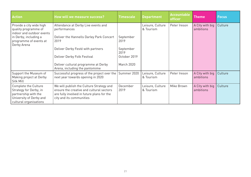| <b>Action</b>                                                                                                               | How will we measure success?                                                                                                                                   | <b>Timescale</b>  | <b>Department</b>             | <b>Accountable</b><br>officer | <b>Theme</b>                 | <b>Focus</b> |
|-----------------------------------------------------------------------------------------------------------------------------|----------------------------------------------------------------------------------------------------------------------------------------------------------------|-------------------|-------------------------------|-------------------------------|------------------------------|--------------|
| Provide a city wide high<br>quality programme of<br>indoor and outdoor events                                               | Attendance at Derby Live events and<br>performances                                                                                                            |                   | Leisure, Culture<br>& Tourism | Peter Ireson                  | A City with big<br>ambitions | Culture      |
| in Derby, including a<br>programme of events at<br>Derby Arena                                                              | Deliver the Hannells Darley Park Concert<br>2019                                                                                                               | September<br>2019 |                               |                               |                              |              |
|                                                                                                                             | Deliver Derby Festé with partners                                                                                                                              | September<br>2019 |                               |                               |                              |              |
|                                                                                                                             | Deliver Derby Folk Festival                                                                                                                                    | October 2019      |                               |                               |                              |              |
|                                                                                                                             | Deliver cultural programme at Derby<br>Arena, including the pantomime                                                                                          | <b>March 2020</b> |                               |                               |                              |              |
| Support the Museum of<br>Making project at Derby<br>Silk Mill                                                               | Successful progress of the project over the<br>next year towards opening in 2020                                                                               | Summer 2020       | Leisure, Culture<br>& Tourism | Peter Ireson                  | A City with big<br>ambitions | Culture      |
| Complete the Culture<br>Strategy for Derby, in<br>partnership with the<br>University of Derby and<br>cultural organisations | We will publish the Culture Strategy and<br>ensure the creative and cultural sectors<br>are fully involved in future plans for the<br>city and its communities | December<br>2019  | Leisure, Culture<br>& Tourism | Mike Brown                    | A City with big<br>ambitions | Culture      |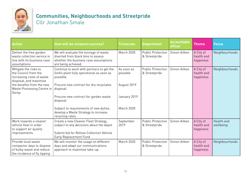

## **Communities, Neighbourhoods and Streetpride**  Cllr Jonathan Smale

| <b>Action</b>                                                                                                                                                            | <b>How will we measure success?</b>                                                                                                                        | <b>Timescale</b>                      | <b>Department</b>                         | <b>Accountable</b><br>officer | <b>Theme</b>                         | <b>Focus</b>            |
|--------------------------------------------------------------------------------------------------------------------------------------------------------------------------|------------------------------------------------------------------------------------------------------------------------------------------------------------|---------------------------------------|-------------------------------------------|-------------------------------|--------------------------------------|-------------------------|
| Deliver the free garden<br>waste collection service in<br>line with its business case<br>assumptions                                                                     | We will evaluate the tonnage of waste<br>diverted from black bins to assess<br>whether the business case assumptions<br>are being achieved.                | March 2020                            | <b>Public Protection</b><br>& Streetpride | Simon Aitken                  | A City of<br>health and<br>happiness | Neighbourhoods          |
| Mitigate the risks to<br>the Council from the<br>increasing costs of waste<br>disposal, and maximise<br>the benefits from the new<br>Waste Processing Centre in<br>Derby | Continue to work with partners to get the<br>Sinfin plant fully operational as soon as<br>possible.<br>Procure new contract for dry recyclates<br>disposal | As soon as<br>possible<br>August 2019 | <b>Public Protection</b><br>& Streetpride | Simon Aitken                  | A City of<br>health and<br>happiness | Neighbourhoods          |
|                                                                                                                                                                          | Procure new contract for garden waste<br>disposal<br>Subject to requirements of new duties,<br>develop a Waste Strategy to increase                        | January 2019<br>March 2020            |                                           |                               |                                      |                         |
|                                                                                                                                                                          | recycling rates.                                                                                                                                           |                                       |                                           |                               |                                      |                         |
| Work towards a cleaner<br>vehicle fleet in order<br>to support air quality<br>improvements                                                                               | Create a new Cleaner Fleet Strategy,<br>subject to any decisions about the depot<br>Submit bid for Refuse Collection Vehicle<br>Early Replacement Fund     | September<br>2019                     | <b>Public Protection</b><br>& Streetpride | Simon Aitken                  | A City of<br>health and<br>happiness | Health and<br>wellbeing |
| Provide local waste<br>compactor days to dispose<br>of bulky waste and reduce<br>the incidence of fly tipping                                                            | We will monitor the usage on different<br>days and adapt our communications<br>approach to maximise take-up.                                               | March 2020                            | <b>Public Protection</b><br>& Streetpride | Simon Aitken                  | A City of<br>health and<br>happiness | Neighbourhoods          |